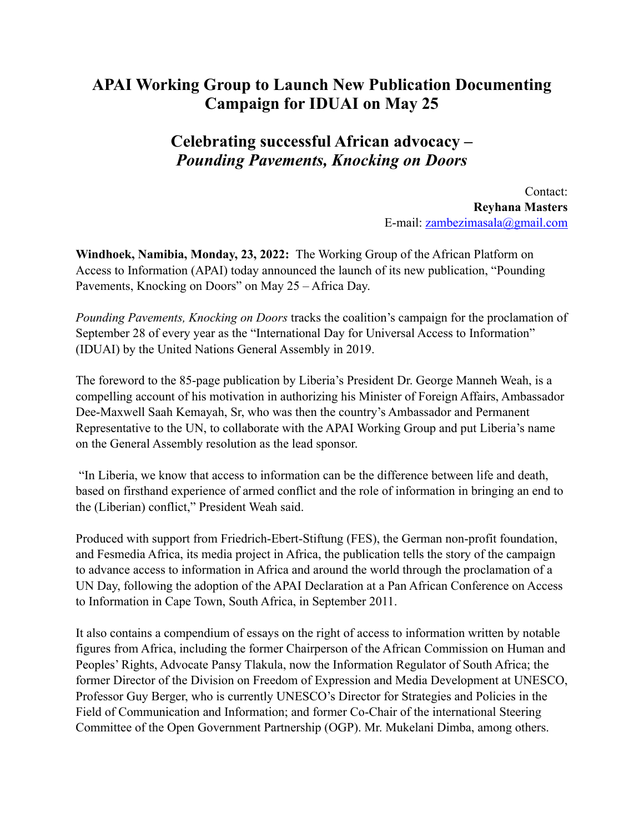## **APAI Working Group to Launch New Publication Documenting Campaign for IDUAI on May 25**

## **Celebrating successful African advocacy –**  *Pounding Pavements, Knocking on Doors*

Contact: **Reyhana Masters**  E-mail: [zambezimasala@gmail.com](mailto:zambezimasala@gmail.com)

**Windhoek, Namibia, Monday, 23, 2022:** The Working Group of the African Platform on Access to Information (APAI) today announced the launch of its new publication, "Pounding Pavements, Knocking on Doors" on May 25 – Africa Day.

*Pounding Pavements, Knocking on Doors* tracks the coalition's campaign for the proclamation of September 28 of every year as the "International Day for Universal Access to Information" (IDUAI) by the United Nations General Assembly in 2019.

The foreword to the 85-page publication by Liberia's President Dr. George Manneh Weah, is a compelling account of his motivation in authorizing his Minister of Foreign Affairs, Ambassador Dee-Maxwell Saah Kemayah, Sr, who was then the country's Ambassador and Permanent Representative to the UN, to collaborate with the APAI Working Group and put Liberia's name on the General Assembly resolution as the lead sponsor.

 "In Liberia, we know that access to information can be the difference between life and death, based on firsthand experience of armed conflict and the role of information in bringing an end to the (Liberian) conflict," President Weah said.

Produced with support from Friedrich-Ebert-Stiftung (FES), the German non-profit foundation, and Fesmedia Africa, its media project in Africa, the publication tells the story of the campaign to advance access to information in Africa and around the world through the proclamation of a UN Day, following the adoption of the APAI Declaration at a Pan African Conference on Access to Information in Cape Town, South Africa, in September 2011.

It also contains a compendium of essays on the right of access to information written by notable figures from Africa, including the former Chairperson of the African Commission on Human and Peoples' Rights, Advocate Pansy Tlakula, now the Information Regulator of South Africa; the former Director of the Division on Freedom of Expression and Media Development at UNESCO, Professor Guy Berger, who is currently UNESCO's Director for Strategies and Policies in the Field of Communication and Information; and former Co-Chair of the international Steering Committee of the Open Government Partnership (OGP). Mr. Mukelani Dimba, among others.